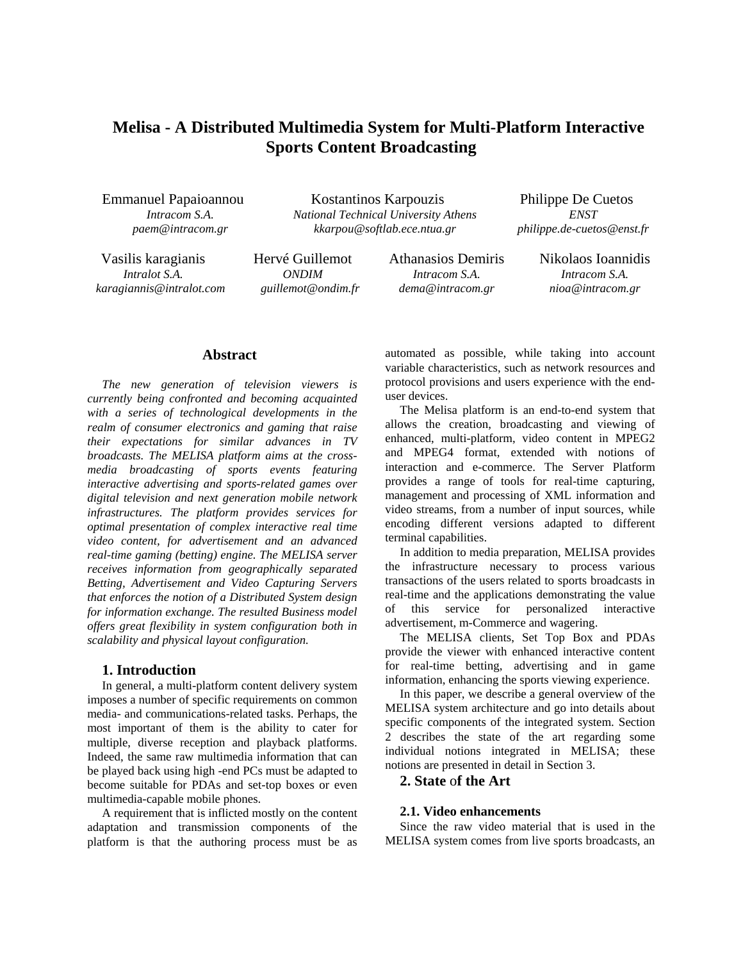# **Melisa - A Distributed Multimedia System for Multi-Platform Interactive Sports Content Broadcasting**

Emmanuel Papaioannou Kostantinos Karpouzis Philippe De Cuetos *Intracom S.A. National Technical University Athens ENST paem@intracom.gr kkarpou@softlab.ece.ntua.gr philippe.de-cuetos@enst.fr* 

Vasilis karagianis Hervé Guillemot Athanasios Demiris Nikolaos Ioannidis *karagiannis@intralot.com guillemot@ondim.fr dema@intracom.gr nioa@intracom.gr*

*Intralot S.A. ONDIM Intracom S.A. Intracom S.A.* 

# **Abstract**

*The new generation of television viewers is currently being confronted and becoming acquainted with a series of technological developments in the realm of consumer electronics and gaming that raise their expectations for similar advances in TV broadcasts. The MELISA platform aims at the crossmedia broadcasting of sports events featuring interactive advertising and sports-related games over digital television and next generation mobile network infrastructures. The platform provides services for optimal presentation of complex interactive real time video content, for advertisement and an advanced real-time gaming (betting) engine. The MELISA server receives information from geographically separated Betting, Advertisement and Video Capturing Servers that enforces the notion of a Distributed System design for information exchange. The resulted Business model offers great flexibility in system configuration both in scalability and physical layout configuration.* 

#### **1. Introduction**

In general, a multi-platform content delivery system imposes a number of specific requirements on common media- and communications-related tasks. Perhaps, the most important of them is the ability to cater for multiple, diverse reception and playback platforms. Indeed, the same raw multimedia information that can be played back using high -end PCs must be adapted to become suitable for PDAs and set-top boxes or even multimedia-capable mobile phones.

A requirement that is inflicted mostly on the content adaptation and transmission components of the platform is that the authoring process must be as automated as possible, while taking into account variable characteristics, such as network resources and protocol provisions and users experience with the enduser devices.

The Melisa platform is an end-to-end system that allows the creation, broadcasting and viewing of enhanced, multi-platform, video content in MPEG2 and MPEG4 format, extended with notions of interaction and e-commerce. The Server Platform provides a range of tools for real-time capturing, management and processing of XML information and video streams, from a number of input sources, while encoding different versions adapted to different terminal capabilities.

In addition to media preparation, MELISA provides the infrastructure necessary to process various transactions of the users related to sports broadcasts in real-time and the applications demonstrating the value of this service for personalized interactive advertisement, m-Commerce and wagering.

The MELISA clients, Set Top Box and PDAs provide the viewer with enhanced interactive content for real-time betting, advertising and in game information, enhancing the sports viewing experience.

In this paper, we describe a general overview of the MELISA system architecture and go into details about specific components of the integrated system. Section 2 describes the state of the art regarding some individual notions integrated in MELISA; these notions are presented in detail in Section 3.

# **2. State** o**f the Art**

#### **2.1. Video enhancements**

Since the raw video material that is used in the MELISA system comes from live sports broadcasts, an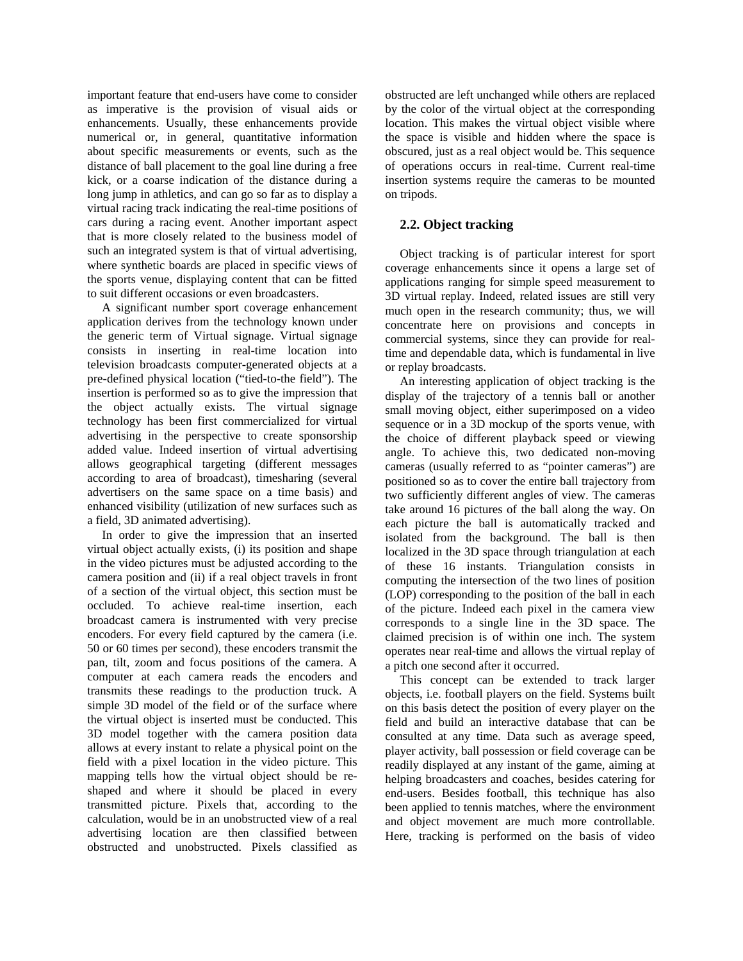important feature that end-users have come to consider as imperative is the provision of visual aids or enhancements. Usually, these enhancements provide numerical or, in general, quantitative information about specific measurements or events, such as the distance of ball placement to the goal line during a free kick, or a coarse indication of the distance during a long jump in athletics, and can go so far as to display a virtual racing track indicating the real-time positions of cars during a racing event. Another important aspect that is more closely related to the business model of such an integrated system is that of virtual advertising, where synthetic boards are placed in specific views of the sports venue, displaying content that can be fitted to suit different occasions or even broadcasters.

A significant number sport coverage enhancement application derives from the technology known under the generic term of Virtual signage. Virtual signage consists in inserting in real-time location into television broadcasts computer-generated objects at a pre-defined physical location ("tied-to-the field"). The insertion is performed so as to give the impression that the object actually exists. The virtual signage technology has been first commercialized for virtual advertising in the perspective to create sponsorship added value. Indeed insertion of virtual advertising allows geographical targeting (different messages according to area of broadcast), timesharing (several advertisers on the same space on a time basis) and enhanced visibility (utilization of new surfaces such as a field, 3D animated advertising).

In order to give the impression that an inserted virtual object actually exists, (i) its position and shape in the video pictures must be adjusted according to the camera position and (ii) if a real object travels in front of a section of the virtual object, this section must be occluded. To achieve real-time insertion, each broadcast camera is instrumented with very precise encoders. For every field captured by the camera (i.e. 50 or 60 times per second), these encoders transmit the pan, tilt, zoom and focus positions of the camera. A computer at each camera reads the encoders and transmits these readings to the production truck. A simple 3D model of the field or of the surface where the virtual object is inserted must be conducted. This 3D model together with the camera position data allows at every instant to relate a physical point on the field with a pixel location in the video picture. This mapping tells how the virtual object should be reshaped and where it should be placed in every transmitted picture. Pixels that, according to the calculation, would be in an unobstructed view of a real advertising location are then classified between obstructed and unobstructed. Pixels classified as

obstructed are left unchanged while others are replaced by the color of the virtual object at the corresponding location. This makes the virtual object visible where the space is visible and hidden where the space is obscured, just as a real object would be. This sequence of operations occurs in real-time. Current real-time insertion systems require the cameras to be mounted on tripods.

# **2.2. Object tracking**

Object tracking is of particular interest for sport coverage enhancements since it opens a large set of applications ranging for simple speed measurement to 3D virtual replay. Indeed, related issues are still very much open in the research community; thus, we will concentrate here on provisions and concepts in commercial systems, since they can provide for realtime and dependable data, which is fundamental in live or replay broadcasts.

An interesting application of object tracking is the display of the trajectory of a tennis ball or another small moving object, either superimposed on a video sequence or in a 3D mockup of the sports venue, with the choice of different playback speed or viewing angle. To achieve this, two dedicated non-moving cameras (usually referred to as "pointer cameras") are positioned so as to cover the entire ball trajectory from two sufficiently different angles of view. The cameras take around 16 pictures of the ball along the way. On each picture the ball is automatically tracked and isolated from the background. The ball is then localized in the 3D space through triangulation at each of these 16 instants. Triangulation consists in computing the intersection of the two lines of position (LOP) corresponding to the position of the ball in each of the picture. Indeed each pixel in the camera view corresponds to a single line in the 3D space. The claimed precision is of within one inch. The system operates near real-time and allows the virtual replay of a pitch one second after it occurred.

This concept can be extended to track larger objects, i.e. football players on the field. Systems built on this basis detect the position of every player on the field and build an interactive database that can be consulted at any time. Data such as average speed, player activity, ball possession or field coverage can be readily displayed at any instant of the game, aiming at helping broadcasters and coaches, besides catering for end-users. Besides football, this technique has also been applied to tennis matches, where the environment and object movement are much more controllable. Here, tracking is performed on the basis of video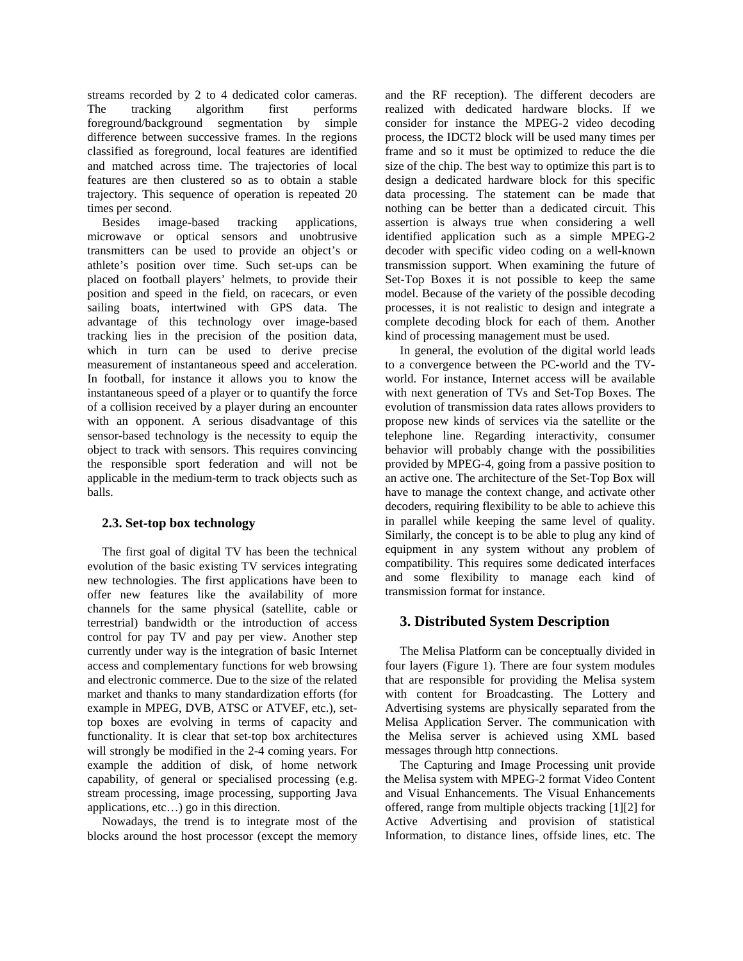streams recorded by 2 to 4 dedicated color cameras. The tracking algorithm first performs foreground/background segmentation by simple difference between successive frames. In the regions classified as foreground, local features are identified and matched across time. The trajectories of local features are then clustered so as to obtain a stable trajectory. This sequence of operation is repeated 20 times per second.

Besides image-based tracking applications, microwave or optical sensors and unobtrusive transmitters can be used to provide an object's or athlete's position over time. Such set-ups can be placed on football players' helmets, to provide their position and speed in the field, on racecars, or even sailing boats, intertwined with GPS data. The advantage of this technology over image-based tracking lies in the precision of the position data, which in turn can be used to derive precise measurement of instantaneous speed and acceleration. In football, for instance it allows you to know the instantaneous speed of a player or to quantify the force of a collision received by a player during an encounter with an opponent. A serious disadvantage of this sensor-based technology is the necessity to equip the object to track with sensors. This requires convincing the responsible sport federation and will not be applicable in the medium-term to track objects such as balls.

### **2.3. Set-top box technology**

The first goal of digital TV has been the technical evolution of the basic existing TV services integrating new technologies. The first applications have been to offer new features like the availability of more channels for the same physical (satellite, cable or terrestrial) bandwidth or the introduction of access control for pay TV and pay per view. Another step currently under way is the integration of basic Internet access and complementary functions for web browsing and electronic commerce. Due to the size of the related market and thanks to many standardization efforts (for example in MPEG, DVB, ATSC or ATVEF, etc.), settop boxes are evolving in terms of capacity and functionality. It is clear that set-top box architectures will strongly be modified in the 2-4 coming years. For example the addition of disk, of home network capability, of general or specialised processing (e.g. stream processing, image processing, supporting Java applications, etc…) go in this direction.

Nowadays, the trend is to integrate most of the blocks around the host processor (except the memory

and the RF reception). The different decoders are realized with dedicated hardware blocks. If we consider for instance the MPEG-2 video decoding process, the IDCT2 block will be used many times per frame and so it must be optimized to reduce the die size of the chip. The best way to optimize this part is to design a dedicated hardware block for this specific data processing. The statement can be made that nothing can be better than a dedicated circuit. This assertion is always true when considering a well identified application such as a simple MPEG-2 decoder with specific video coding on a well-known transmission support. When examining the future of Set-Top Boxes it is not possible to keep the same model. Because of the variety of the possible decoding processes, it is not realistic to design and integrate a complete decoding block for each of them. Another kind of processing management must be used.

In general, the evolution of the digital world leads to a convergence between the PC-world and the TVworld. For instance, Internet access will be available with next generation of TVs and Set-Top Boxes. The evolution of transmission data rates allows providers to propose new kinds of services via the satellite or the telephone line. Regarding interactivity, consumer behavior will probably change with the possibilities provided by MPEG-4, going from a passive position to an active one. The architecture of the Set-Top Box will have to manage the context change, and activate other decoders, requiring flexibility to be able to achieve this in parallel while keeping the same level of quality. Similarly, the concept is to be able to plug any kind of equipment in any system without any problem of compatibility. This requires some dedicated interfaces and some flexibility to manage each kind of transmission format for instance.

# **3. Distributed System Description**

The Melisa Platform can be conceptually divided in four layers (Figure 1). There are four system modules that are responsible for providing the Melisa system with content for Broadcasting. The Lottery and Advertising systems are physically separated from the Melisa Application Server. The communication with the Melisa server is achieved using XML based messages through http connections.

The Capturing and Image Processing unit provide the Melisa system with MPEG-2 format Video Content and Visual Enhancements. The Visual Enhancements offered, range from multiple objects tracking [1][2] for Active Advertising and provision of statistical Information, to distance lines, offside lines, etc. The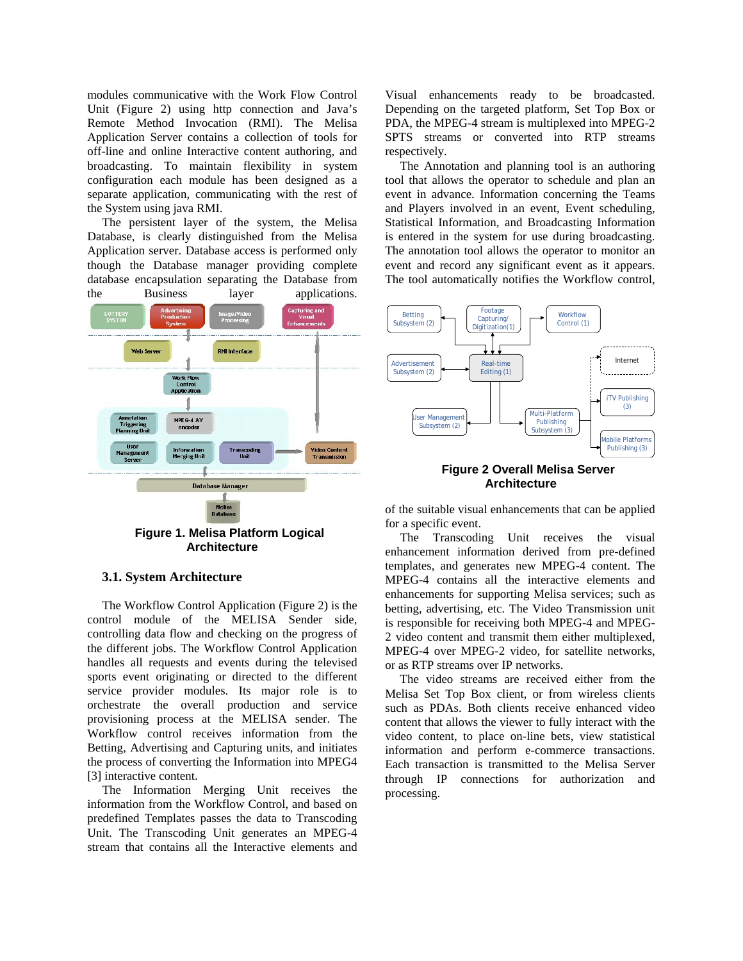modules communicative with the Work Flow Control Unit (Figure 2) using http connection and Java's Remote Method Invocation (RMI). The Melisa Application Server contains a collection of tools for off-line and online Interactive content authoring, and broadcasting. To maintain flexibility in system configuration each module has been designed as a separate application, communicating with the rest of the System using java RMI.

The persistent layer of the system, the Melisa Database, is clearly distinguished from the Melisa Application server. Database access is performed only though the Database manager providing complete database encapsulation separating the Database from



**Architecture** 

#### **3.1. System Architecture**

The Workflow Control Application (Figure 2) is the control module of the MELISA Sender side, controlling data flow and checking on the progress of the different jobs. The Workflow Control Application handles all requests and events during the televised sports event originating or directed to the different service provider modules. Its major role is to orchestrate the overall production and service provisioning process at the MELISA sender. The Workflow control receives information from the Betting, Advertising and Capturing units, and initiates the process of converting the Information into MPEG4 [3] interactive content.

The Information Merging Unit receives the information from the Workflow Control, and based on predefined Templates passes the data to Transcoding Unit. The Transcoding Unit generates an MPEG-4 stream that contains all the Interactive elements and

Visual enhancements ready to be broadcasted. Depending on the targeted platform, Set Top Box or PDA, the MPEG-4 stream is multiplexed into MPEG-2 SPTS streams or converted into RTP streams respectively.

The Annotation and planning tool is an authoring tool that allows the operator to schedule and plan an event in advance. Information concerning the Teams and Players involved in an event, Event scheduling, Statistical Information, and Broadcasting Information is entered in the system for use during broadcasting. The annotation tool allows the operator to monitor an event and record any significant event as it appears. The tool automatically notifies the Workflow control,



#### **Figure 2 Overall Melisa Server Architecture**

of the suitable visual enhancements that can be applied for a specific event.

The Transcoding Unit receives the visual enhancement information derived from pre-defined templates, and generates new MPEG-4 content. The MPEG-4 contains all the interactive elements and enhancements for supporting Melisa services; such as betting, advertising, etc. The Video Transmission unit is responsible for receiving both MPEG-4 and MPEG-2 video content and transmit them either multiplexed, MPEG-4 over MPEG-2 video, for satellite networks, or as RTP streams over IP networks.

The video streams are received either from the Melisa Set Top Box client, or from wireless clients such as PDAs. Both clients receive enhanced video content that allows the viewer to fully interact with the video content, to place on-line bets, view statistical information and perform e-commerce transactions. Each transaction is transmitted to the Melisa Server through IP connections for authorization and processing.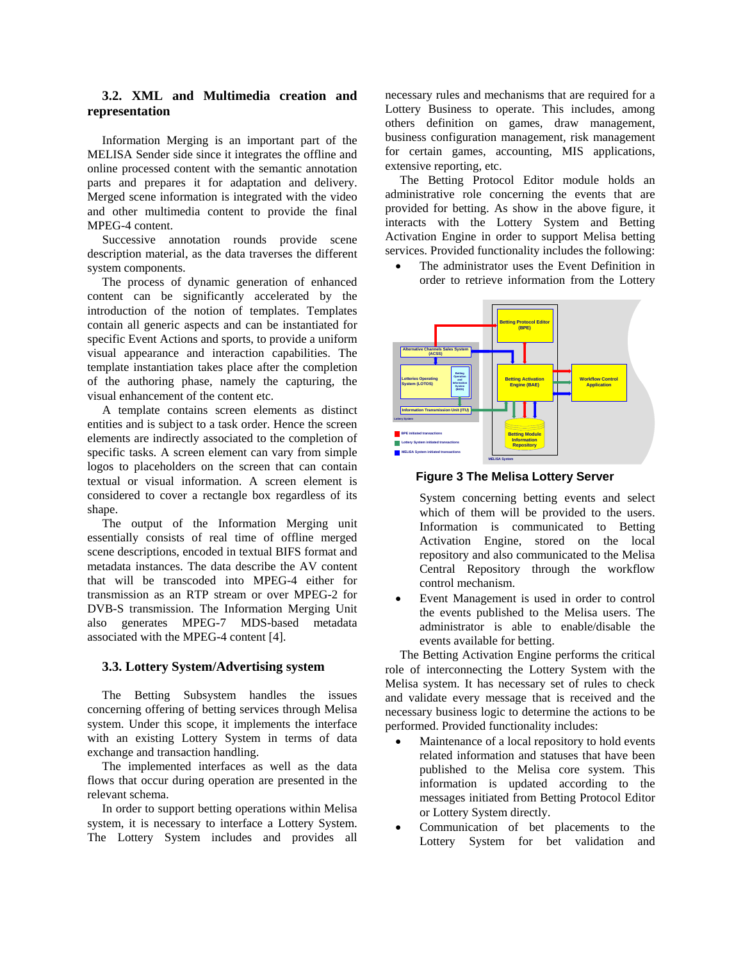# **3.2. XML and Multimedia creation and representation**

Information Merging is an important part of the MELISA Sender side since it integrates the offline and online processed content with the semantic annotation parts and prepares it for adaptation and delivery. Merged scene information is integrated with the video and other multimedia content to provide the final MPEG-4 content.

Successive annotation rounds provide scene description material, as the data traverses the different system components.

The process of dynamic generation of enhanced content can be significantly accelerated by the introduction of the notion of templates. Templates contain all generic aspects and can be instantiated for specific Event Actions and sports, to provide a uniform visual appearance and interaction capabilities. The template instantiation takes place after the completion of the authoring phase, namely the capturing, the visual enhancement of the content etc.

A template contains screen elements as distinct entities and is subject to a task order. Hence the screen elements are indirectly associated to the completion of specific tasks. A screen element can vary from simple logos to placeholders on the screen that can contain textual or visual information. A screen element is considered to cover a rectangle box regardless of its shape.

The output of the Information Merging unit essentially consists of real time of offline merged scene descriptions, encoded in textual BIFS format and metadata instances. The data describe the AV content that will be transcoded into MPEG-4 either for transmission as an RTP stream or over MPEG-2 for DVB-S transmission. The Information Merging Unit also generates MPEG-7 MDS-based metadata associated with the MPEG-4 content [4].

#### **3.3. Lottery System/Advertising system**

The Betting Subsystem handles the issues concerning offering of betting services through Melisa system. Under this scope, it implements the interface with an existing Lottery System in terms of data exchange and transaction handling.

The implemented interfaces as well as the data flows that occur during operation are presented in the relevant schema.

In order to support betting operations within Melisa system, it is necessary to interface a Lottery System. The Lottery System includes and provides all

necessary rules and mechanisms that are required for a Lottery Business to operate. This includes, among others definition on games, draw management, business configuration management, risk management for certain games, accounting, MIS applications, extensive reporting, etc.

The Betting Protocol Editor module holds an administrative role concerning the events that are provided for betting. As show in the above figure, it interacts with the Lottery System and Betting Activation Engine in order to support Melisa betting services. Provided functionality includes the following:

> The administrator uses the Event Definition in order to retrieve information from the Lottery

**Lottery System Lotteries Operating System (LOTOS) Alternative Channels Sales System (ACSS) Information Transmission Unit (ITU) Betting Operation and Information System (BIOS) Betting Protocol Editor (BPE) Betting Activation Engine (BAE) Workflow Control Application Betting Module Information Repository BPE initiated transactions Lottery System initiated transactions MELISA System initiated transactions**

**Figure 3 The Melisa Lottery Server** 

**MELISA System**

System concerning betting events and select which of them will be provided to the users. Information is communicated to Betting Activation Engine, stored on the local repository and also communicated to the Melisa Central Repository through the workflow control mechanism.

• Event Management is used in order to control the events published to the Melisa users. The administrator is able to enable/disable the events available for betting.

The Betting Activation Engine performs the critical role of interconnecting the Lottery System with the Melisa system. It has necessary set of rules to check and validate every message that is received and the necessary business logic to determine the actions to be performed. Provided functionality includes:

- Maintenance of a local repository to hold events related information and statuses that have been published to the Melisa core system. This information is updated according to the messages initiated from Betting Protocol Editor or Lottery System directly.
- Communication of bet placements to the Lottery System for bet validation and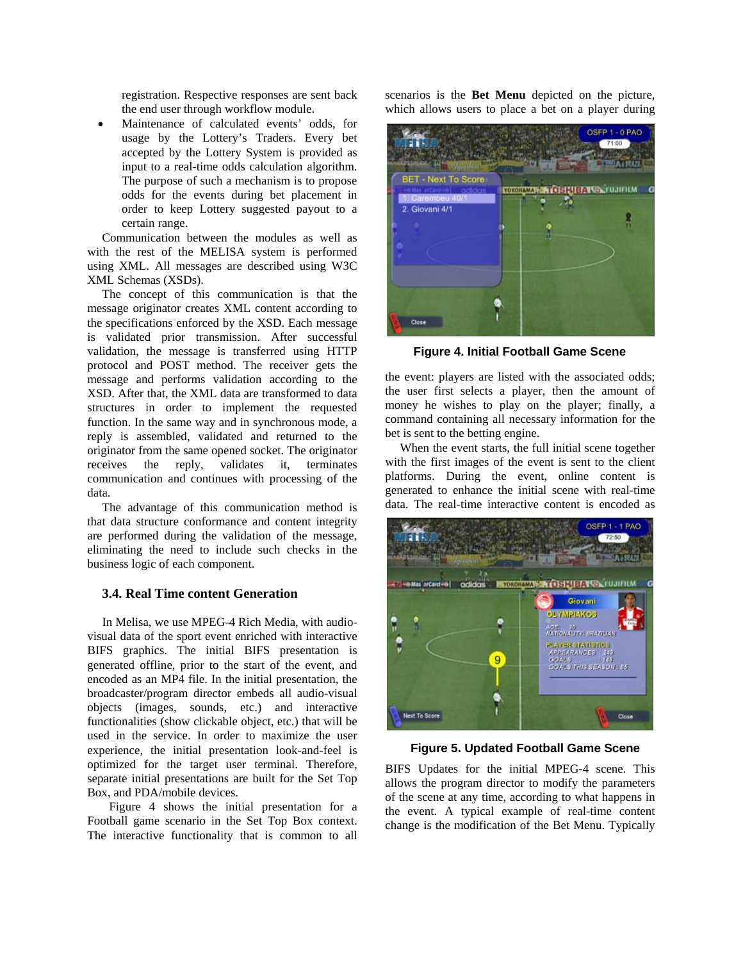registration. Respective responses are sent back the end user through workflow module.

• Maintenance of calculated events' odds, for usage by the Lottery's Traders. Every bet accepted by the Lottery System is provided as input to a real-time odds calculation algorithm. The purpose of such a mechanism is to propose odds for the events during bet placement in order to keep Lottery suggested payout to a certain range.

Communication between the modules as well as with the rest of the MELISA system is performed using XML. All messages are described using W3C XML Schemas (XSDs).

The concept of this communication is that the message originator creates XML content according to the specifications enforced by the XSD. Each message is validated prior transmission. After successful validation, the message is transferred using HTTP protocol and POST method. The receiver gets the message and performs validation according to the XSD. After that, the XML data are transformed to data structures in order to implement the requested function. In the same way and in synchronous mode, a reply is assembled, validated and returned to the originator from the same opened socket. The originator receives the reply, validates it, terminates communication and continues with processing of the data.

The advantage of this communication method is that data structure conformance and content integrity are performed during the validation of the message, eliminating the need to include such checks in the business logic of each component.

# **3.4. Real Time content Generation**

In Melisa, we use MPEG-4 Rich Media, with audiovisual data of the sport event enriched with interactive BIFS graphics. The initial BIFS presentation is generated offline, prior to the start of the event, and encoded as an MP4 file. In the initial presentation, the broadcaster/program director embeds all audio-visual objects (images, sounds, etc.) and interactive functionalities (show clickable object, etc.) that will be used in the service. In order to maximize the user experience, the initial presentation look-and-feel is optimized for the target user terminal. Therefore, separate initial presentations are built for the Set Top Box, and PDA/mobile devices.

Figure 4 shows the initial presentation for a Football game scenario in the Set Top Box context. The interactive functionality that is common to all scenarios is the **Bet Menu** depicted on the picture, which allows users to place a bet on a player during



**Figure 4. Initial Football Game Scene** 

the event: players are listed with the associated odds; the user first selects a player, then the amount of money he wishes to play on the player; finally, a command containing all necessary information for the bet is sent to the betting engine.

When the event starts, the full initial scene together with the first images of the event is sent to the client platforms. During the event, online content is generated to enhance the initial scene with real-time data. The real-time interactive content is encoded as



**Figure 5. Updated Football Game Scene**

BIFS Updates for the initial MPEG-4 scene. This allows the program director to modify the parameters of the scene at any time, according to what happens in the event. A typical example of real-time content change is the modification of the Bet Menu. Typically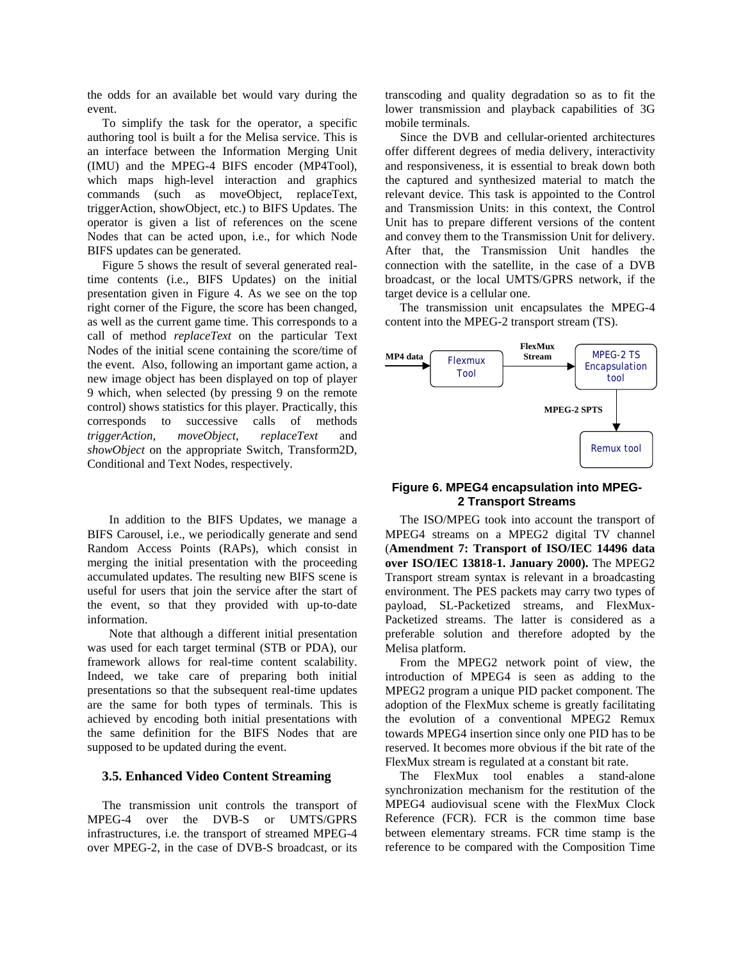the odds for an available bet would vary during the event.

To simplify the task for the operator, a specific authoring tool is built a for the Melisa service. This is an interface between the Information Merging Unit (IMU) and the MPEG-4 BIFS encoder (MP4Tool), which maps high-level interaction and graphics commands (such as moveObject, replaceText, triggerAction, showObject, etc.) to BIFS Updates. The operator is given a list of references on the scene Nodes that can be acted upon, i.e., for which Node BIFS updates can be generated.

Figure 5 shows the result of several generated realtime contents (i.e., BIFS Updates) on the initial presentation given in Figure 4. As we see on the top right corner of the Figure, the score has been changed, as well as the current game time. This corresponds to a call of method *replaceText* on the particular Text Nodes of the initial scene containing the score/time of the event. Also, following an important game action, a new image object has been displayed on top of player 9 which, when selected (by pressing 9 on the remote control) shows statistics for this player. Practically, this corresponds to successive calls of methods *triggerAction*, *moveObject*, *replaceText* and *showObject* on the appropriate Switch, Transform2D, Conditional and Text Nodes, respectively.

In addition to the BIFS Updates, we manage a BIFS Carousel, i.e., we periodically generate and send Random Access Points (RAPs), which consist in merging the initial presentation with the proceeding accumulated updates. The resulting new BIFS scene is useful for users that join the service after the start of the event, so that they provided with up-to-date information.

Note that although a different initial presentation was used for each target terminal (STB or PDA), our framework allows for real-time content scalability. Indeed, we take care of preparing both initial presentations so that the subsequent real-time updates are the same for both types of terminals. This is achieved by encoding both initial presentations with the same definition for the BIFS Nodes that are supposed to be updated during the event.

#### **3.5. Enhanced Video Content Streaming**

The transmission unit controls the transport of MPEG-4 over the DVB-S or UMTS/GPRS infrastructures, i.e. the transport of streamed MPEG-4 over MPEG-2, in the case of DVB-S broadcast, or its

transcoding and quality degradation so as to fit the lower transmission and playback capabilities of 3G mobile terminals.

Since the DVB and cellular-oriented architectures offer different degrees of media delivery, interactivity and responsiveness, it is essential to break down both the captured and synthesized material to match the relevant device. This task is appointed to the Control and Transmission Units: in this context, the Control Unit has to prepare different versions of the content and convey them to the Transmission Unit for delivery. After that, the Transmission Unit handles the connection with the satellite, in the case of a DVB broadcast, or the local UMTS/GPRS network, if the target device is a cellular one.

The transmission unit encapsulates the MPEG-4 content into the MPEG-2 transport stream (TS).



#### **Figure 6. MPEG4 encapsulation into MPEG-2 Transport Streams**

The ISO/MPEG took into account the transport of MPEG4 streams on a MPEG2 digital TV channel (**Amendment 7: Transport of ISO/IEC 14496 data over ISO/IEC 13818-1. January 2000).** The MPEG2 Transport stream syntax is relevant in a broadcasting environment. The PES packets may carry two types of payload, SL-Packetized streams, and FlexMux-Packetized streams. The latter is considered as a preferable solution and therefore adopted by the Melisa platform.

From the MPEG2 network point of view, the introduction of MPEG4 is seen as adding to the MPEG2 program a unique PID packet component. The adoption of the FlexMux scheme is greatly facilitating the evolution of a conventional MPEG2 Remux towards MPEG4 insertion since only one PID has to be reserved. It becomes more obvious if the bit rate of the FlexMux stream is regulated at a constant bit rate.

The FlexMux tool enables a stand-alone synchronization mechanism for the restitution of the MPEG4 audiovisual scene with the FlexMux Clock Reference (FCR). FCR is the common time base between elementary streams. FCR time stamp is the reference to be compared with the Composition Time